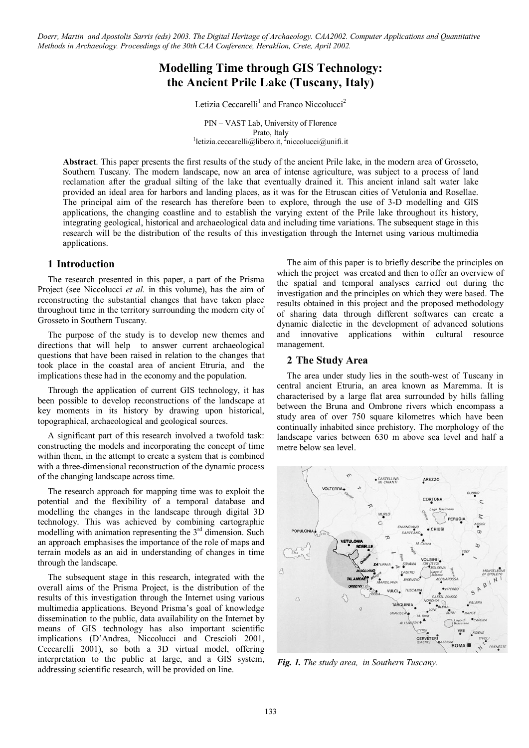*Doerr, Martin and Apostolis Sarris (eds) 2003. The Digital Heritage of Archaeology. CAA2002. Computer Applications and Quantitative Methods in Archaeology. Proceedings of the 30th CAA Conference, Heraklion, Crete, April 2002.*

# **Modelling Time through GIS Technology: the Ancient Prile Lake (Tuscany, Italy)**

Letizia Ceccarelli<sup>1</sup> and Franco Niccolucci<sup>2</sup>

PIN – VAST Lab, University of Florence Prato, Italy<br><sup>1</sup>letizia.ceccarelli@libero.it, <sup>2</sup>niccolucci@unifi.it

**Abstract**. This paper presents the first results of the study of the ancient Prile lake, in the modern area of Grosseto, Southern Tuscany. The modern landscape, now an area of intense agriculture, was subject to a process of land reclamation after the gradual silting of the lake that eventually drained it. This ancient inland salt water lake provided an ideal area for harbors and landing places, as it was for the Etruscan cities of Vetulonia and Rosellae. The principal aim of the research has therefore been to explore, through the use of 3-D modelling and GIS applications, the changing coastline and to establish the varying extent of the Prile lake throughout its history, integrating geological, historical and archaeological data and including time variations. The subsequent stage in this research will be the distribution of the results of this investigation through the Internet using various multimedia applications.

## **1 Introduction**

The research presented in this paper, a part of the Prisma Project (see Niccolucci *et al.* in this volume), has the aim of reconstructing the substantial changes that have taken place throughout time in the territory surrounding the modern city of Grosseto in Southern Tuscany.

The purpose of the study is to develop new themes and directions that will help to answer current archaeological questions that have been raised in relation to the changes that took place in the coastal area of ancient Etruria, and the implications these had in the economy and the population.

Through the application of current GIS technology, it has been possible to develop reconstructions of the landscape at key moments in its history by drawing upon historical, topographical, archaeological and geological sources.

A significant part of this research involved a twofold task: constructing the models and incorporating the concept of time within them, in the attempt to create a system that is combined with a three-dimensional reconstruction of the dynamic process of the changing landscape across time.

The research approach for mapping time was to exploit the potential and the flexibility of a temporal database and modelling the changes in the landscape through digital 3D technology. This was achieved by combining cartographic modelling with animation representing the  $3<sup>rd</sup>$  dimension. Such an approach emphasises the importance of the role of maps and terrain models as an aid in understanding of changes in time through the landscape.

The subsequent stage in this research, integrated with the overall aims of the Prisma Project, is the distribution of the results of this investigation through the Internet using various multimedia applications. Beyond Prisma's goal of knowledge dissemination to the public, data availability on the Internet by means of GIS technology has also important scientific implications (D'Andrea, Niccolucci and Crescioli 2001, Ceccarelli 2001), so both a 3D virtual model, offering interpretation to the public at large, and a GIS system, addressing scientific research, will be provided on line.

The aim of this paper is to briefly describe the principles on which the project was created and then to offer an overview of the spatial and temporal analyses carried out during the investigation and the principles on which they were based. The results obtained in this project and the proposed methodology of sharing data through different softwares can create a dynamic dialectic in the development of advanced solutions and innovative applications within cultural resource management.

## **2 The Study Area**

The area under study lies in the south-west of Tuscany in central ancient Etruria, an area known as Maremma. It is characterised by a large flat area surrounded by hills falling between the Bruna and Ombrone rivers which encompass a study area of over 750 square kilometres which have been continually inhabited since prehistory. The morphology of the landscape varies between 630 m above sea level and half a metre below sea level.



*Fig. 1. The study area, in Southern Tuscany.*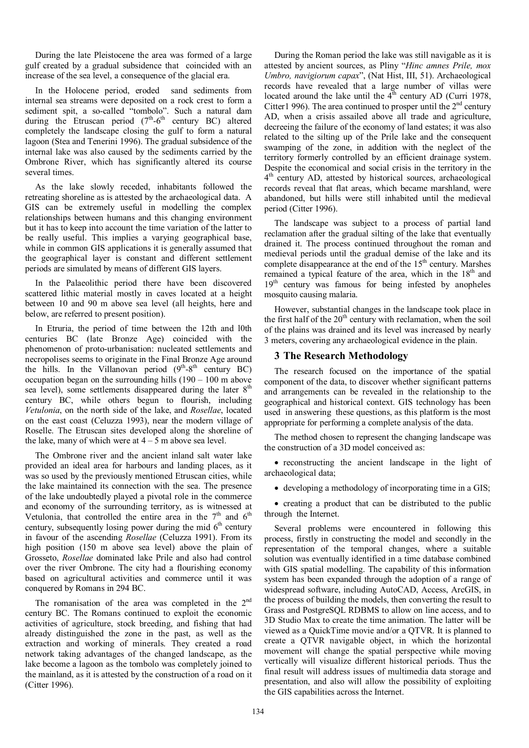During the late Pleistocene the area was formed of a large gulf created by a gradual subsidence that coincided with an increase of the sea level, a consequence of the glacial era.

In the Holocene period, eroded sand sediments from internal sea streams were deposited on a rock crest to form a sediment spit, a so-called "tombolo". Such a natural dam during the Etruscan period  $(7<sup>th</sup>-6<sup>th</sup>$  century BC) altered completely the landscape closing the gulf to form a natural lagoon (Stea and Tenerini 1996). The gradual subsidence of the internal lake was also caused by the sediments carried by the Ombrone River, which has significantly altered its course several times.

As the lake slowly receded, inhabitants followed the retreating shoreline as is attested by the archaeological data. A GIS can be extremely useful in modelling the complex relationships between humans and this changing environment but it has to keep into account the time variation of the latter to be really useful. This implies a varying geographical base, while in common GIS applications it is generally assumed that the geographical layer is constant and different settlement periods are simulated by means of different GIS layers.

In the Palaeolithic period there have been discovered scattered lithic material mostly in caves located at a height between 10 and 90 m above sea level (all heights, here and below, are referred to present position).

In Etruria, the period of time between the 12th and l0th centuries BC (late Bronze Age) coincided with the phenomenon of proto-urbanisation: nucleated settlements and necropolises seems to originate in the Final Bronze Age around the hills. In the Villanovan period  $(9<sup>th</sup>-8<sup>th</sup>$  century BC) occupation began on the surrounding hills (190 – 100 m above sea level), some settlements disappeared during the later  $8<sup>th</sup>$ century BC, while others begun to flourish, including *Vetulonia*, on the north side of the lake, and *Rosellae*, located on the east coast (Celuzza 1993), near the modern village of Roselle. The Etruscan sites developed along the shoreline of the lake, many of which were at  $4 - 5$  m above sea level.

The Ombrone river and the ancient inland salt water lake provided an ideal area for harbours and landing places, as it was so used by the previously mentioned Etruscan cities, while the lake maintained its connection with the sea. The presence of the lake undoubtedly played a pivotal role in the commerce and economy of the surrounding territory, as is witnessed at Vetulonia, that controlled the entire area in the  $7<sup>th</sup>$  and  $6<sup>th</sup>$ century, subsequently losing power during the mid  $6<sup>th</sup>$  century in favour of the ascending *Rosellae* (Celuzza 1991). From its high position (150 m above sea level) above the plain of Grosseto, *Rosellae* dominated lake Prile and also had control over the river Ombrone. The city had a flourishing economy based on agricultural activities and commerce until it was conquered by Romans in 294 BC.

The romanisation of the area was completed in the  $2<sup>nd</sup>$ century BC. The Romans continued to exploit the economic activities of agriculture, stock breeding, and fishing that had already distinguished the zone in the past, as well as the extraction and working of minerals. They created a road network taking advantages of the changed landscape, as the lake become a lagoon as the tombolo was completely joined to the mainland, as it is attested by the construction of a road on it (Citter 1996).

During the Roman period the lake was still navigable as it is attested by ancient sources, as Pliny "*Hinc amnes Prile, mox Umbro, navigiorum capax*", (Nat Hist, III, 51). Archaeological records have revealed that a large number of villas were located around the lake until the  $4<sup>th</sup>$  century AD (Curri 1978, Citter 1 996). The area continued to prosper until the  $2<sup>nd</sup>$  century AD, when a crisis assailed above all trade and agriculture, decreeing the failure of the economy of land estates; it was also related to the silting up of the Prile lake and the consequent swamping of the zone, in addition with the neglect of the territory formerly controlled by an efficient drainage system. Despite the economical and social crisis in the territory in the  $4<sup>th</sup>$  century AD, attested by historical sources, archaeological records reveal that flat areas, which became marshland, were abandoned, but hills were still inhabited until the medieval period (Citter 1996).

The landscape was subject to a process of partial land reclamation after the gradual silting of the lake that eventually drained it. The process continued throughout the roman and medieval periods until the gradual demise of the lake and its complete disappearance at the end of the  $15<sup>th</sup>$  century. Marshes remained a typical feature of the area, which in the 18<sup>th</sup> and 19<sup>th</sup> century was famous for being infested by anopheles mosquito causing malaria.

However, substantial changes in the landscape took place in the first half of the  $20<sup>th</sup>$  century with reclamation, when the soil of the plains was drained and its level was increased by nearly 3 meters, covering any archaeological evidence in the plain.

# **3 The Research Methodology**

The research focused on the importance of the spatial component of the data, to discover whether significant patterns and arrangements can be revealed in the relationship to the geographical and historical context. GIS technology has been used in answering these questions, as this platform is the most appropriate for performing a complete analysis of the data.

The method chosen to represent the changing landscape was the construction of a 3D model conceived as:

• reconstructing the ancient landscape in the light of archaeological data;

• developing a methodology of incorporating time in a GIS;

• creating a product that can be distributed to the public through the Internet.

Several problems were encountered in following this process, firstly in constructing the model and secondly in the representation of the temporal changes, where a suitable solution was eventually identified in a time database combined with GIS spatial modelling. The capability of this information system has been expanded through the adoption of a range of widespread software, including AutoCAD, Access, ArcGIS, in the process of building the models, then converting the result to Grass and PostgreSQL RDBMS to allow on line access, and to 3D Studio Max to create the time animation. The latter will be viewed as a QuickTime movie and/or a QTVR. It is planned to create a QTVR navigable object, in which the horizontal movement will change the spatial perspective while moving vertically will visualize different historical periods. Thus the final result will address issues of multimedia data storage and presentation, and also will allow the possibility of exploiting the GIS capabilities across the Internet.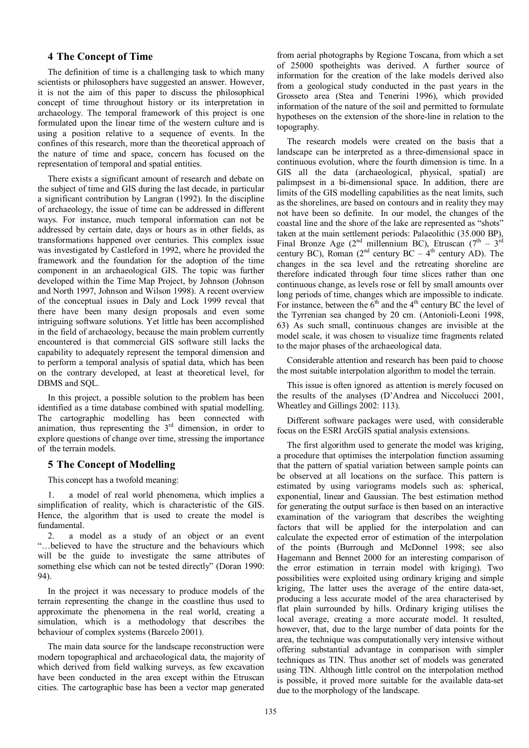# **4 The Concept of Time**

The definition of time is a challenging task to which many scientists or philosophers have suggested an answer. However, it is not the aim of this paper to discuss the philosophical concept of time throughout history or its interpretation in archaeology. The temporal framework of this project is one formulated upon the linear time of the western culture and is using a position relative to a sequence of events. In the confines of this research, more than the theoretical approach of the nature of time and space, concern has focused on the representation of temporal and spatial entities.

There exists a significant amount of research and debate on the subject of time and GIS during the last decade, in particular a significant contribution by Langran (1992). In the discipline of archaeology, the issue of time can be addressed in different ways. For instance, much temporal information can not be addressed by certain date, days or hours as in other fields, as transformations happened over centuries. This complex issue was investigated by Castleford in 1992, where he provided the framework and the foundation for the adoption of the time component in an archaeological GIS. The topic was further developed within the Time Map Project, by Johnson (Johnson and North 1997, Johnson and Wilson 1998). A recent overview of the conceptual issues in Daly and Lock 1999 reveal that there have been many design proposals and even some intriguing software solutions. Yet little has been accomplished in the field of archaeology, because the main problem currently encountered is that commercial GIS software still lacks the capability to adequately represent the temporal dimension and to perform a temporal analysis of spatial data, which has been on the contrary developed, at least at theoretical level, for DBMS and SQL.

In this project, a possible solution to the problem has been identified as a time database combined with spatial modelling. The cartographic modelling has been connected with animation, thus representing the  $3<sup>rd</sup>$  dimension, in order to explore questions of change over time, stressing the importance of the terrain models.

### **5 The Concept of Modelling**

This concept has a twofold meaning:

1. a model of real world phenomena, which implies a simplification of reality, which is characteristic of the GIS. Hence, the algorithm that is used to create the model is fundamental.

2. a model as a study of an object or an event "…believed to have the structure and the behaviours which will be the guide to investigate the same attributes of something else which can not be tested directly" (Doran 1990: 94).

In the project it was necessary to produce models of the terrain representing the change in the coastline thus used to approximate the phenomena in the real world, creating a simulation, which is a methodology that describes the behaviour of complex systems (Barcelo 2001).

The main data source for the landscape reconstruction were modern topographical and archaeological data, the majority of which derived from field walking surveys, as few excavation have been conducted in the area except within the Etruscan cities. The cartographic base has been a vector map generated

from aerial photographs by Regione Toscana, from which a set of 25000 spotheights was derived. A further source of information for the creation of the lake models derived also from a geological study conducted in the past years in the Grosseto area (Stea and Tenerini 1996), which provided information of the nature of the soil and permitted to formulate hypotheses on the extension of the shore-line in relation to the topography.

The research models were created on the basis that a landscape can be interpreted as a three-dimensional space in continuous evolution, where the fourth dimension is time. In a GIS all the data (archaeological, physical, spatial) are palimpsest in a bi-dimensional space. In addition, there are limits of the GIS modelling capabilities as the neat limits, such as the shorelines, are based on contours and in reality they may not have been so definite. In our model, the changes of the coastal line and the shore of the lake are represented as "shots" taken at the main settlement periods: Palaeolithic (35.000 BP), Final Bronze Age (2<sup>nd</sup> millennium BC), Etruscan (7<sup>th</sup> – 3<sup>rd</sup>) century BC), Roman (2<sup>nd</sup> century BC –  $4<sup>th</sup>$  century AD). The changes in the sea level and the retreating shoreline are therefore indicated through four time slices rather than one continuous change, as levels rose or fell by small amounts over long periods of time, changes which are impossible to indicate. For instance, between the  $6<sup>th</sup>$  and the 4<sup>th</sup> century BC the level of the Tyrrenian sea changed by 20 cm. (Antonioli-Leoni 1998, 63) As such small, continuous changes are invisible at the model scale, it was chosen to visualize time fragments related to the major phases of the archaeological data.

Considerable attention and research has been paid to choose the most suitable interpolation algorithm to model the terrain.

This issue is often ignored as attention is merely focused on the results of the analyses (D'Andrea and Niccolucci 2001, Wheatley and Gillings 2002: 113).

Different software packages were used, with considerable focus on the ESRI ArcGIS spatial analysis extensions.

The first algorithm used to generate the model was kriging, a procedure that optimises the interpolation function assuming that the pattern of spatial variation between sample points can be observed at all locations on the surface. This pattern is estimated by using variograms models such as: spherical, exponential, linear and Gaussian. The best estimation method for generating the output surface is then based on an interactive examination of the variogram that describes the weighting factors that will be applied for the interpolation and can calculate the expected error of estimation of the interpolation of the points (Burrough and McDonnel 1998; see also Hagemann and Bennet 2000 for an interesting comparison of the error estimation in terrain model with kriging). Two possibilities were exploited using ordinary kriging and simple kriging, The latter uses the average of the entire data-set, producing a less accurate model of the area characterised by flat plain surrounded by hills. Ordinary kriging utilises the local average, creating a more accurate model. It resulted, however, that, due to the large number of data points for the area, the technique was computationally very intensive without offering substantial advantage in comparison with simpler techniques as TIN. Thus another set of models was generated using TIN. Although little control on the interpolation method is possible, it proved more suitable for the available data-set due to the morphology of the landscape.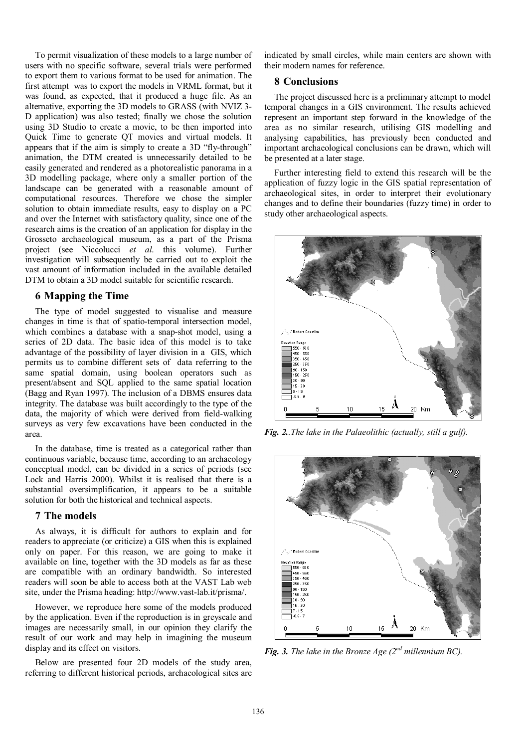To permit visualization of these models to a large number of users with no specific software, several trials were performed to export them to various format to be used for animation. The first attempt was to export the models in VRML format, but it was found, as expected, that it produced a huge file. As an alternative, exporting the 3D models to GRASS (with NVIZ 3- D application) was also tested; finally we chose the solution using 3D Studio to create a movie, to be then imported into Quick Time to generate QT movies and virtual models. It appears that if the aim is simply to create a 3D "fly-through" animation, the DTM created is unnecessarily detailed to be easily generated and rendered as a photorealistic panorama in a 3D modelling package, where only a smaller portion of the landscape can be generated with a reasonable amount of computational resources. Therefore we chose the simpler solution to obtain immediate results, easy to display on a PC and over the Internet with satisfactory quality, since one of the research aims is the creation of an application for display in the Grosseto archaeological museum, as a part of the Prisma project (see Niccolucci *et al*. this volume). Further investigation will subsequently be carried out to exploit the vast amount of information included in the available detailed DTM to obtain a 3D model suitable for scientific research.

# **6 Mapping the Time**

The type of model suggested to visualise and measure changes in time is that of spatio-temporal intersection model, which combines a database with a snap-shot model, using a series of 2D data. The basic idea of this model is to take advantage of the possibility of layer division in a GIS, which permits us to combine different sets of data referring to the same spatial domain, using boolean operators such as present/absent and SQL applied to the same spatial location (Bagg and Ryan 1997). The inclusion of a DBMS ensures data integrity. The database was built accordingly to the type of the data, the majority of which were derived from field-walking surveys as very few excavations have been conducted in the area.

In the database, time is treated as a categorical rather than continuous variable, because time, according to an archaeology conceptual model, can be divided in a series of periods (see Lock and Harris 2000). Whilst it is realised that there is a substantial oversimplification, it appears to be a suitable solution for both the historical and technical aspects.

# **7 The models**

As always, it is difficult for authors to explain and for readers to appreciate (or criticize) a GIS when this is explained only on paper. For this reason, we are going to make it available on line, together with the 3D models as far as these are compatible with an ordinary bandwidth. So interested readers will soon be able to access both at the VAST Lab web site, under the Prisma heading: http://www.vast-lab.it/prisma/.

However, we reproduce here some of the models produced by the application. Even if the reproduction is in greyscale and images are necessarily small, in our opinion they clarify the result of our work and may help in imagining the museum display and its effect on visitors.

Below are presented four 2D models of the study area, referring to different historical periods, archaeological sites are indicated by small circles, while main centers are shown with their modern names for reference.

# **8 Conclusions**

The project discussed here is a preliminary attempt to model temporal changes in a GIS environment. The results achieved represent an important step forward in the knowledge of the area as no similar research, utilising GIS modelling and analysing capabilities, has previously been conducted and important archaeological conclusions can be drawn, which will be presented at a later stage.

Further interesting field to extend this research will be the application of fuzzy logic in the GIS spatial representation of archaeological sites, in order to interpret their evolutionary changes and to define their boundaries (fuzzy time) in order to study other archaeological aspects.



*Fig. 2..The lake in the Palaeolithic (actually, still a gulf).*



*Fig. 3. The lake in the Bronze Age (2nd millennium BC).*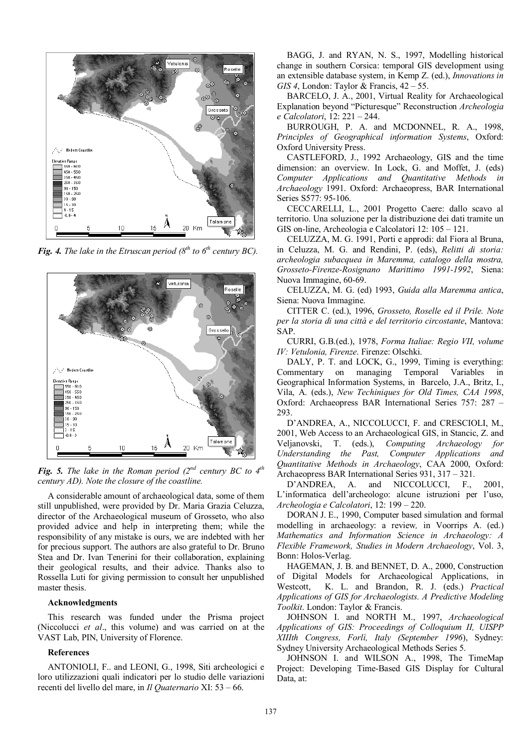

*Fig. 4. The lake in the Etruscan period (* $8^{th}$  *to*  $6^{th}$  *century BC).* 



*Fig. 5. The lake in the Roman period (2nd century BC to 4th century AD). Note the closure of the coastline.*

A considerable amount of archaeological data, some of them still unpublished, were provided by Dr. Maria Grazia Celuzza, director of the Archaeological museum of Grosseto, who also provided advice and help in interpreting them; while the responsibility of any mistake is ours, we are indebted with her for precious support. The authors are also grateful to Dr. Bruno Stea and Dr. Ivan Tenerini for their collaboration, explaining their geological results, and their advice. Thanks also to Rossella Luti for giving permission to consult her unpublished master thesis.

#### **Acknowledgments**

This research was funded under the Prisma project (Niccolucci *et al*., this volume) and was carried on at the VAST Lab, PIN, University of Florence.

#### **References**

ANTONIOLI, F.. and LEONI, G., 1998, Siti archeologici e loro utilizzazioni quali indicatori per lo studio delle variazioni recenti del livello del mare, in *Il Quaternario* XI: 53 – 66.

BAGG, J. and RYAN, N. S., 1997, Modelling historical change in southern Corsica: temporal GIS development using an extensible database system, in Kemp Z. (ed.), *Innovations in GIS 4*, London: Taylor & Francis, 42 – 55.

BARCELO, J. A., 2001, Virtual Reality for Archaeological Explanation beyond "Picturesque" Reconstruction *Archeologia e Calcolatori*, 12: 221 – 244.

BURROUGH, P. A. and MCDONNEL, R. A., 1998, *Principles of Geographical information Systems*, Oxford: Oxford University Press.

CASTLEFORD, J., 1992 Archaeology, GIS and the time dimension: an overview. In Lock, G. and Moffet, J. (eds) *Computer Applications and Quantitative Methods in Archaeology* 1991. Oxford: Archaeopress, BAR International Series S577: 95-106.

CECCARELLI, L., 2001 Progetto Caere: dallo scavo al territorio. Una soluzione per la distribuzione dei dati tramite un GIS on-line, Archeologia e Calcolatori 12: 105 – 121.

CELUZZA, M. G. 1991, Porti e approdi: dal Fiora al Bruna, in Celuzza, M. G. and Rendini, P. (eds), *Relitti di storia: archeologia subacquea in Maremma, catalogo della mostra, Grosseto-Firenze-Rosignano Marittimo 1991-1992*, Siena: Nuova Immagine, 60-69.

CELUZZA, M. G. (ed) 1993, *Guida alla Maremma antica*, Siena: Nuova Immagine.

CITTER C. (ed.), 1996, *Grosseto, Roselle ed il Prile. Note per la storia di una città e del territorio circostante*, Mantova: SAP.

CURRI, G.B.(ed.), 1978, *Forma Italiae: Regio VII, volume IV: Vetulonia, Firenze*. Firenze: Olschki.

DALY, P. T. and LOCK, G., 1999, Timing is everything: Commentary on managing Temporal Variables in Geographical Information Systems, in Barcelo, J.A., Britz, I., Vila, A. (eds.), *New Techiniques for Old Times, CAA 1998*, Oxford: Archaeopress BAR International Series 757: 287 – 293.

D'ANDREA, A., NICCOLUCCI, F. and CRESCIOLI, M., 2001, Web Access to an Archaeological GIS, in Stancic, Z. and Veljanovski, T. (eds.), *Computing Archaeology for Understanding the Past, Computer Applications and Quantitative Methods in Archaeology*, CAA 2000, Oxford: Archaeopress BAR International Series 931, 317 – 321.

D'ANDREA, A. and NICCOLUCCI, F., 2001, L'informatica dell'archeologo: alcune istruzioni per l'uso, *Archeologia e Calcolatori*, 12: 199 – 220.

DORAN J. E., 1990, Computer based simulation and formal modelling in archaeology: a review*,* in Voorrips A. (ed.) *Mathematics and Information Science in Archaeology: A Flexible Framework, Studies in Modern Archaeology*, Vol. 3, Bonn: Holos-Verlag.

HAGEMAN, J. B. and BENNET, D. A., 2000, Construction of Digital Models for Archaeological Applications, in Westcott, K. L. and Brandon, R. J. (eds.) *Practical Applications of GIS for Archaeologists. A Predictive Modeling Toolkit*. London: Taylor & Francis.

JOHNSON I. and NORTH M., 1997, *Archaeological Applications of GIS: Proceedings of Colloquium II, UISPP XIIIth Congress, Forlì, Italy (September 1996*), Sydney: Sydney University Archaeological Methods Series 5.

JOHNSON I. and WILSON A., 1998, The TimeMap Project: Developing Time-Based GIS Display for Cultural Data, at: